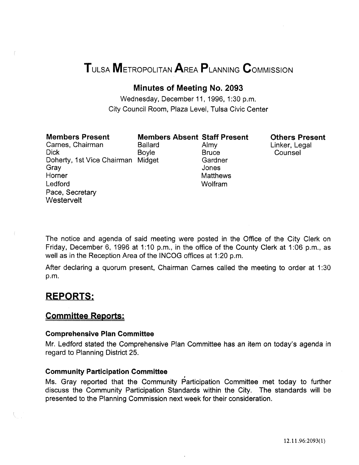# TULSA METROPOLITAN AREA PLANNING CoMMISSION

## Minutes of Meeting No. 2093

Wednesday, December 11, 1996, 1:30 p.m. City Council Room, Plaza Level, Tulsa Civic Center

## Members Present

Carnes, Chairman Dick Doherty, 1st Vice Chairman Midget Gray Horner Ledford Pace, Secretary **Westervelt** 

Members Absent Staff Present Ballard Almy Boyle **Bruce** Gardner Jones **Matthews Wolfram** 

Others Present Linker, Legal Counsel

The notice and agenda of said meeting were posted in the Office of the City Clerk on Friday, December 6, 1996 at 1:10 p.m., in the office of the County Clerk at 1:06 p.m., as well as in the Reception Area of the INCOG offices at 1:20 p.m.

After declaring a quorum present, Chairman Carnes calied the meeting to order at 1 :30 p.m.

## REPORTS:

## Committee Reports:

## Comprehensive Plan Committee

Mr. Ledford stated the Comprehensive Plan Committee has an item on today's agenda in regard to Planning District 25.

## Community Participation Committee

Ms. Gray reported that the Community Participation Committee met today to further discuss the Community Participation Standards within the City. The standards will be presented to the Planning Commission next week for their consideration.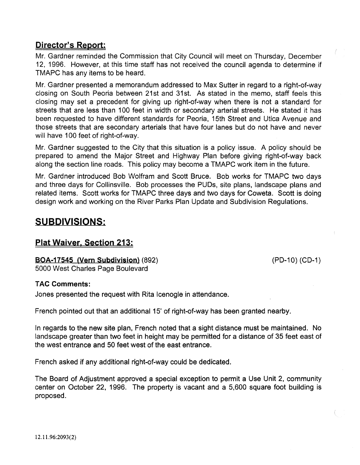## Director's Report:

Mr. Gardner reminded the Commission that City Council will meet on Thursday, December 12, 1996. However, at this time staff has not received the council agenda to determine if TMAPC has any items to be heard.

Mr. Gardner presented a memorandum addressed to Max Sutter in regard to a right-of-way closing on South Peoria between 21st and 31st. As stated in the memo, staff feels this closing may set a precedent for giving up right-of-way when there is not a standard for streets that are less than 100 feet in width or secondary arterial streets. He stated it has been requested to have different standards for Peoria, 15th Street and Utica Avenue and those streets that are secondary arterials that have four lanes but do not have and never will have 100 feet of right-of-way.

Mr. Gardner suggested to the City that this situation is a policy issue. A policy should be prepared to amend the Major Street and Highway Plan before giving right-of-way back along the section line roads. This policy may become a TMAPC work item in the future.

Mr. Gardner introduced Bob Wolfram and Scott Bruce. Bob works for TMAPC two days and three days for Collinsville. Bob processes the PUDs, site plans, landscape plans and related items. Scott works for TMAPC three days and two days for Coweta. Scott is doing design work and working on the River Parks Plan Update and Subdivision Regulations.

## SUBDIVISIONS:

## Plat Waiver, Section 213:

## BOA-17545 (Vern Subdivision) (892)

(PD-10) (CD-1)

5000 West Charles Page Boulevard

## TAC Comments:

Jones presented the request with Rita Icenogle in attendance.

French pointed out that an additional 15' of right-of-way has been granted nearby.

In regards to the new site plan, French noted that a sight distance must be maintained. No landscape greater than two feet in height may be permitted for a distance of 35 feet east of the west entrance and 50 feet west of the east entrance.

French asked if any additional right-of-way could be dedicated.

The Board of Adjustment approved a special exception to permit a Use Unit 2, community center on October 22, 1996. The property is vacant and a 5,600 square foot building is proposed.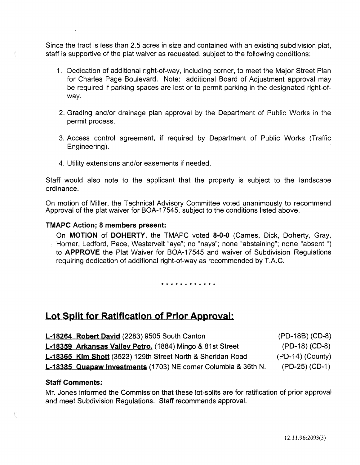Since the tract is less than 2.5 acres in size and contained with an existing subdivision plat, staff is supportive of the plat waiver as requested, subject to the following conditions:

- 1. Dedication of additional right-of-way, including corner, to meet the Major Street Plan for Charles Page Boulevard. Note: additional Board of Adjustment approval may be required if parking spaces are lost or to permit parking in the designated right-ofway.
- 2. Grading and/or drainage plan approval by the Department of Public Works in the permit process.
- 3. Access control agreement, if required by Department of Public Works (Traffic Engineering).
- 4. Utility extensions and/or easements if needed.

Staff would also note to the applicant that the property is subject to the landscape ordinance.

On motion of Miller, the Technical Advisory Committee voted unanimously to recommend Approval of the plat waiver for BOA-17545, subject to the conditions listed above.

## TMAPC Action; 8 members present:

On MOTION of DOHERTY, the TMAPC voted 8-0-0 (Carnes, Dick, Doherty, Gray, Horner, Ledford, Pace, Westervelt "aye"; no "nays"; none "abstaining"; none "absent ") to APPROVE the Plat Waiver for BOA-17545 and waiver of Subdivision Regulations requiring dedication of additional right-of-way as recommended by T.A.C.

\*\*\*\*\*\*\*\*\*\*\*\*

## Lot Split for Ratification of Prior Approval:

| L-18264 Robert David (2283) 9505 South Canton                  | (PD-18B) (CD-8)    |
|----------------------------------------------------------------|--------------------|
| L-18359 Arkansas Valley Petro. (1884) Mingo & 81st Street      | $(PD-18) (CD-8)$   |
| L-18365 Kim Shott (3523) 129th Street North & Sheridan Road    | $(PD-14)$ (County) |
| L-18385 Quapaw Investments (1703) NE corner Columbia & 36th N. | (PD-25) (CD-1)     |

## Staff Comments:

Mr. Jones informed the Commission that these lot-splits are for ratification of prior approval and meet Subdivision Regulations. Staff recommends approval.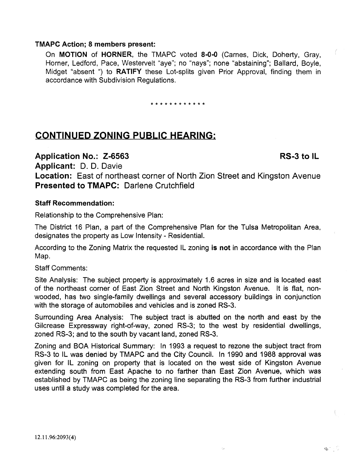On MOTION of HORNER, the TMAPC voted 8-0·0 (Carnes, Dick, Doherty, Gray, Horner, Ledford, Pace, Westervelt "aye"; no "nays"; none "abstaining"; Ballard, Boyle, Midget "absent ") to RATIFY these Lot-splits given Prior Approval, finding them in accordance with Subdivision Regulations.

\* \* \* \* \* \* \* \* \* \* \* \*

## CONTINUED ZONING PUBLIC HEARING:

Application No.: Z-6563 RS-3 to IL Applicant: D. D. Davie Location: East of northeast corner of North Zion Street and Kingston Avenue Presented to TMAPC: Darlene Crutchfield

## Staff Recommendation:

Relationship to the Comprehensive Plan:

The District 16 Plan, a part of the Comprehensive Plan for the Tulsa Metropolitan Area, designates the property as Low Intensity- Residential.

According to the Zoning Matrix the requested IL zoning is not in accordance with the Plan Map.

Staff Comments:

Site Analysis: The subject property is approximately 1.6 acres in size and is located east of the northeast corner of East Zion Street and North Kingston Avenue. It is flat, nonwooded, has two single-family dwellings and several accessory buildings in conjunction with the storage of automobiles and vehicles and is zoned RS-3.

Surrounding Area Analysis: The subject tract is abutted on the north and east by the Gilcrease Expressway right-of-way, zoned RS-3; to the west by residential dwellings, zoned RS-3; and to the south by vacant land, zoned RS-3.

Zoning and BOA Historical Summary: In 1993 a request to rezone the subject tract from RS-3 to IL was denied by TMAPC and the City Council. In 1990 and 1988 approval was given for IL zoning on property that is located on the west side of Kingston Avenue extending south from East Apache to no farther than East Zion Avenue, which was established by TMAPC as being the zoning line separating the RS-3 from further industrial uses until a study was completed for the area.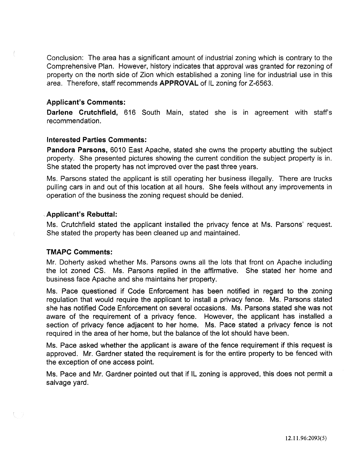Conclusion: The area has a significant amount of industrial zoning which is contrary to the Comprehensive Plan. However, history indicates that approval was granted for rezoning of property on the north side of Zion which established a zoning line for industrial use in this area. Therefore, staff recommends APPROVAL of IL zoning for Z-6563.

## Applicant's Comments:

Darlene Crutchfield, 616 South Main, stated she is in agreement with staffs recommendation.

## Interested Parties Comments:

Pandora Parsons, 6010 East Apache, stated she owns the property abutting the subject property. She presented pictures showing the current condition the subject property is in. She stated the property has not improved over the past three years.

Ms. Parsons stated the applicant is still operating her business illegally. There are trucks pulling cars in and out of this location at all hours. She feels without any improvements in operation of the business the zoning request should be denied.

## , Applicant's Rebuttal:

Ms. Crutchfield stated the applicant installed the privacy fence at Ms. Parsons' request. She stated the property has been cleaned up and maintained.

## TMAPC Comments:

UD.

Mr. Doherty asked whether Ms. Parsons owns all the lots that front on Apache including the lot zoned CS. Ms. Parsons replied in the affirmative. She stated her home and business face Apache and she maintains her property.

Ms. Pace questioned if Code Enforcement has been notified in regard to the zoning regulation that would require the applicant to install a privacy fence. Ms. Parsons stated she has notified Code Enforcement on several occasions. Ms. Parsons stated she was not aware of the requirement of a privacy fence. However, the applicant has installed a section of privacy fence adjacent to her home. Ms. Pace stated a privacy fence is not required in the area of her home, but the balance of the lot should have been.

Ms. Pace asked whether the applicant is aware of the fence requirement if this request is approved. Mr. Gardner stated the requirement is for the entire property to be fenced with the exception of one access point.

Ms. Pace and Mr. Gardner pointed out that if IL zoning is approved, this does not permit a salvage yard.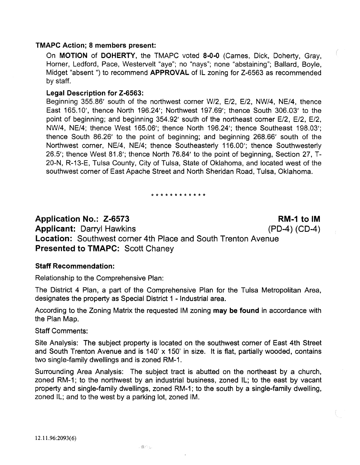On MOTION of DOHERTY, the TMAPC voted 8-0-0 (Carnes, Dick, Doherty, Gray, Horner, Ledford, Pace, Westervelt "aye"; no "nays"; none "abstaining"; Ballard, Boyle, Midget "absent") to recommend APPROVAL of IL zoning for Z-6563 as recommended by staff.

## Legal Description for Z-6563:

Beginning 355.86' south of the northwest corner W/2, E/2, E/2, NW/4, NE/4, thence East 165.10', thence North 196.24'; Northwest 197.69'; thence South 306.03' to the point of beginning; and beginning 354.92' south of the northeast corner E/2, E/2, E/2, NW/4, NE/4; thence West 165.06'; thence North 196.24'; thence Southeast 198.03'; thence South 86.26' to the point of beginning; and beginning 268.66' south of the Northwest corner, NE/4, NE/4; thence Southeasterly 116.00'; thence Southwesterly 26.5'; thence West 81.8'; thence North 76.84' to the point of beginning, Section 27, T-20-N, R-13-E, Tulsa County, City of Tulsa, State of Oklahoma, and located west of the southwest corner of East Apache Street and North Sheridan Road, Tulsa, Oklahoma.

#### \*\*\*\*\*\*\*\*\*\*\*\*

Application No.: Z-6573 RM-1 to IM Applicant: Darryl Hawkins (PD-4) (CD-4) Location: Southwest corner 4th Place and South Trenton Avenue Presented to TMAPC: Scott Chaney

#### Staff Recommendation:

Relationship to the Comprehensive Plan:

The District 4 Plan, a part of the Comprehensive Plan for the Tulsa Metropolitan Area, designates the property as Special District 1 -Industrial area.

According to the Zoning Matrix the requested IM zoning may be found in accordance with the Plan Map.

Staff Comments:

Site Analysis: The subject property is located on the southwest corner of East 4th Street and South Trenton Avenue and is 140' x 150' in size. It is flat, partially wooded, contains two single-family dwellings and is zoned RM-1.

Surrounding Area Analysis: The subject tract is abutted on the northeast by a church, zoned RM-1; to the northwest by an industrial business, zoned IL; to the east by vacant property and single-family dwellings, zoned RM-1; to the south by a single-family dwelling, zoned IL; and to the west by a parking lot, zoned IM.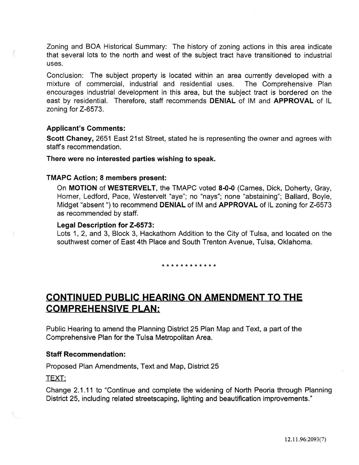Zoning and BOA Historical Summary: The history of zoning actions in this area indicate that several lots to the north and west of the subject tract have transitioned to industrial uses.

Conclusion: The subject property is located within an area currently developed with a mixture of commercial, industrial and residential uses. The Comprehensive Plan encourages industrial development in this area, but the subject tract is bordered on the east by residential. Therefore, staff recommends DENIAL of IM and APPROVAL of IL zoning for Z-6573.

## Applicant's Comments:

Scott Chaney, 2651 East 21st Street, stated he is representing the owner and agrees with staff's recommendation.

## There were no interested parties wishing to speak.

## TMAPC Action; 8 members present:

On MOTION of WESTERVELT, the TMAPC voted 8-0-0 (Carnes, Dick, Doherty, Gray, Horner, Ledford, Pace, Westervelt "aye"; no "nays"; none "abstaining"; Ballard, Boyle, Midget "absent") to recommend DENIAL of IM and APPROVAL of IL zoning for Z-6573 as recommended by staff.

#### Legal Description for Z-6573:

Lots 1, 2, and 3, Block 3, Hackathorn Addition to the City of Tulsa, and located on the southwest corner of East 4th Place and South Trenton Avenue, Tulsa, Oklahoma.

\*\*\*\*\*\*\*\*\*\*\*\*

## CONTINUED PUBLIC HEARING ON AMENDMENT TO THE COMPREHENSIVE PLAN:

Public Hearing to amend the Planning District 25 Plan Map and Text, a part of the Comprehensive Plan for the Tulsa Metropolitan Area.

#### Staff Recommendation:

Proposed Plan Amendments, Text and Map, District 25

#### TEXT:

Change 2.1.11 to "Continue and complete the widening of North Peoria through Planning District 25, including related streetscaping, lighting and beautification improvements."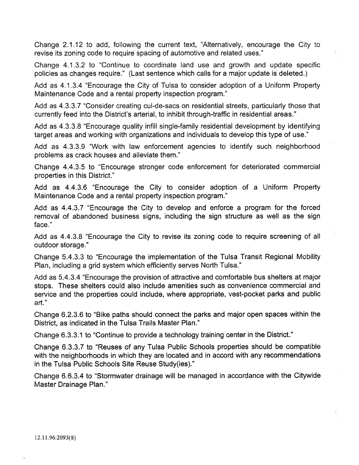Change 2.1.12 to add, following the current text, "Alternatively, encourage the City to revise its zoning code to require spacing of automotive and related uses."

Change 4.1.3.2 to "Continue to coordinate land use and growth and update specific policies as changes require." (last sentence which calls for a major update is deleted.)

Add as 4.1.3.4 "Encourage the City of Tulsa to consider adoption of a Uniform Property Maintenance Code and a rental property inspection program."

Add as 4.3.3.7 "Consider creating cui-de-sacs on residential streets, particularly those that currently feed into the District's arterial, to inhibit through-traffic in residential areas."

Add as 4.3.3.8 "Encourage quality infill single-family residential development by identifying target areas and working with organizations and individuals to develop this type of use."

Add as 4.3.3.9 "Work with law enforcement agencies to identify such neighborhood problems as crack houses and alleviate them."

Change 4.4.3.5 to "Encourage stronger code enforcement for deteriorated commercial properties in this District."

Add as 4.4.3.6 "Encourage the City to consider adoption of a Uniform Property Maintenance Code and a rental property inspection program."

Add as 4.4.3.7 "Encourage the City to develop and enforce a program for the forced removal of abandoned business signs, including the sign structure as well as the sign face."

Add as 4.4.3.8 "Encourage the City to revise its zoning code to require screening of all outdoor storage."

Change 5.4.3.3 to "Encourage the implementation of the Tulsa Transit Regional Mobility Plan, including a grid system which efficiently serves North Tulsa."

Add as 5.4.3.4 "Encourage the provision of attractive and comfortable bus shelters at major stops. These shelters could also include amenities such as convenience commercial and service and the properties could include, where appropriate, vest-pocket parks and public art."

Change 6.2.3.6 to "Bike paths should connect the parks and major open spaces within the District, as indicated in the Tulsa Trails Master Plan."

Change 6.3.3.1 to "Continue to provide a technology training center in the District."

Change 6.3.3. 7 to "Reuses of any Tulsa Public Schools properties should be compatible with the neighborhoods in which they are located and in accord with any recommendations in the Tulsa Public Schools Site Reuse Study(ies)."

Change 6.6.3.4 to "Stormwater drainage will be managed in accordance with the Citywide Master Drainage Plan."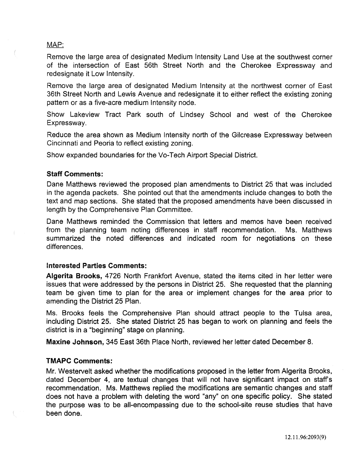#### MAP:

Remove the large area of designated Medium Intensity Land Use at the southwest corner of the intersection of East 56th Street North and the Cherokee Expressway and redesignate it Low Intensity.

Remove the large area of designated Medium Intensity at the northwest corner of East 36th Street North and Lewis Avenue and redesignate it to either reflect the existing zoning pattern or as a five-acre medium Intensity node.

Show Lakeview Tract Park south of Lindsey School and west of the Cherokee Expressway.

Reduce the area shown as Medium Intensity north of the Gilcrease Expressway between Cincinnati and Peoria to reflect existing zoning.

Show expanded boundaries for the Vo-Tech Airport Special District.

#### Staff Comments:

Dane Matthews reviewed the proposed plan amendments to District 25 that was included in the agenda packets. She pointed out that the amendments include changes to both the text and map sections. She stated that the proposed amendments have been discussed in length by the Comprehensive Plan Committee.

Dane Matthews reminded the Commission that letters and memos have been received from the planning team noting differences in staff recommendation. Ms. Matthews summarized the noted differences and indicated room for negotiations on these differences.

#### Interested Parties Comments:

Algerita Brooks, 4726 North Frankfort Avenue, stated the items cited in her letter were issues that were addressed by the persons in District 25. She requested that the planning team be given time to plan for the area or implement changes for the area prior to amending the District 25 Plan.

Ms. Brooks feels the Comprehensive Plan should attract people to the Tulsa area, including District 25. She stated District 25 has began to work on planning and feels the district is in a "beginning" stage on planning.

Maxine Johnson, 345 East 36th Place North, reviewed her letter dated December 8.

## TMAPC Comments:

Mr. Westervelt asked whether the modifications proposed in the letter from Algerita Brooks, dated December 4, are textual changes that will not have significant impact on staffs recommendation. Ms. Matthews replied the modifications are semantic changes and staff does not have a problem with deleting the word "any" on one specific policy. She stated the purpose was to be all-encompassing due to the school-site reuse studies that have been done.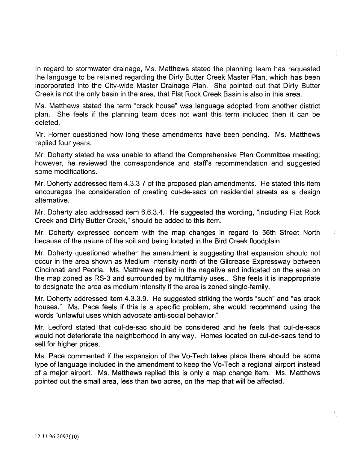In regard to stormwater drainage, Ms. Matthews stated the planning team has requested the language to be retained regarding the Dirty Butter Creek Master Plan, which has been incorporated into the City-wide Master Drainage Plan. She pointed out that Dirty Butter Creek is not the only basin in the area, that Flat Rock Creek Basin is also in this area.

Ms. Matthews stated the term "crack house" was language adopted from another district plan. She feels if the planning team does not want this term included then it can be deleted.

Mr. Horner questioned how long these amendments have been pending. Ms. Matthews replied four years.

Mr. Doherty stated he was unable to attend the Comprehensive Plan Committee meeting; however, he reviewed the correspondence and staffs recommendation and suggested some modifications.

Mr. Doherty addressed item 4.3.3.7 of the proposed plan amendments. He stated this item encourages the consideration of creating cui-de-sacs on residential streets as a design alternative.

Mr, Doherty also addressed item 6.6.3.4. He suggested the wording, "including Flat Rock Creek and Dirty Butter Creek," should be added to this item.

Mr. Doherty expressed concern with the map changes in regard to 56th Street North because of the nature of the soil and being located in the Bird Creek floodplain.

Mr. Doherty questioned whether the amendment is suggesting that expansion should not occur in the area shown as Medium Intensity north of the Gilcrease Expressway between Cincinnati and Peoria. Ms. Matthews replied in the negative and indicated on the area on the map zoned as RS-3 and surrounded by multifamily uses.. She feels it is inappropriate to designate the area as medium intensity if the area is zoned single-family.

Mr. Doherty addressed item 4.3.3.9. He suggested striking the words "such" and "as crack houses." Ms. Pace feels if this is a specific problem, she would recommend using the words "unlawful uses which advocate anti-social behavior."

Mr. Ledford stated that cul-de-sac should be considered and he feels that cui-de-sacs would not deteriorate the neighborhood in any way. Homes located on cui-de-sacs tend to sell for higher prices.

Ms. Pace commented if the expansion of the Vo-Tech takes place there should be some type of language included in the amendment to keep the Vo-Tech a regional airport instead of a major airport. Ms. Matthews replied this is only a map change item. Ms. Matthews pointed out the small area, less than two acres, on the map that will be affected.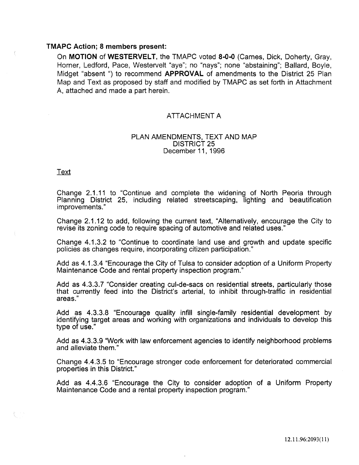On MOTION of WESTERVELT, the TMAPC voted 8-0-0 (Carnes, Dick, Doherty, Gray, Horner, Ledford, Pace, Westervelt "aye"; no "nays"; none "abstaining"; Ballard, Boyle, Midget "absent ") to recommend APPROVAL of amendments to the District 25 Plan Map and Text as proposed by staff and modified by TMAPC as set forth in Attachment A, attached and made a part herein.

#### ATTACHMENT A

#### PLAN AMENDMENTS, TEXT AND MAP DISTRICT 25 December 11 , 1996

#### Text

Change 2.1.11 to "Continue and complete the widening of North Peoria through Planning District 25, including related streetscaping, lighting and beautification improvements."

Change 2.1.12 to add, following the current text, "Alternatively, encourage the City to revise its zoning code to require spacing of automotive and related uses."

Change 4.1.3.2 to "Continue to coordinate land use and growth and update specific policies as changes require, incorporating citizen participation."

Add as 4.1.3.4 "Encourage the City of Tulsa to consider adoption of a Uniform Property Maintenance Code and rental property inspection program."

Add as 4.3.3.7 "Consider creating cul-de-sacs on residential streets, particularly those that currently feed into the District's arterial, to inhibit through-traffic in residential areas."

Add as 4.3.3.8 "Encourage quality infill single-family residential development by identifying target areas and working with organizations and individuals to develop this type of use."

Add as 4.3.3.9 "Work with law enforcement agencies to identify neighborhood problems and alleviate them."

Change 4.4.3.5 to "Encourage stronger code enforcement for deteriorated commercial properties in this District."

Add as 4.4.3.6 "Encourage the City to consider adoption of a Uniform Property Maintenance Code and a rental property inspection program."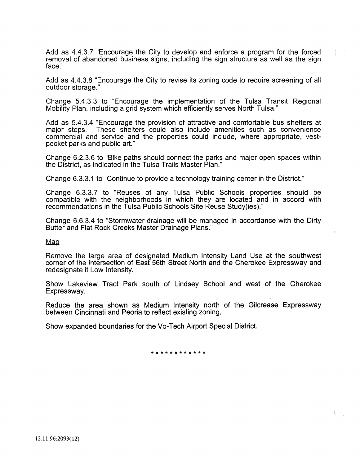Add as 4.4.3.7 "Encourage the City to develop and enforce a program for the forced removal of abandoned business signs, including the sign structure as well as the sign face."

Add as 4.4.3.8 "Encourage the City to revise its zoning code to require screening of all outdoor storage."

Change 5.4.3.3 to "Encourage the implementation of the Tulsa Transit Regional Mobility Plan, including a grid system which efficiently serves North Tulsa."

Add as 5.4.3.4 "Encourage the provision of attractive and comfortable bus shelters at major stops. These shelters could also include amenities such as convenience commercial and service and the properties could include, where appropriate, vestpocket parks and public art."

Change 6.2.3.6 to "Bike paths should connect the parks and major open spaces within the District, as indicated in the Tulsa Trails Master Plan."

Change 6.3.3.1 to "Continue to provide a technology training center in the District."

Change 6.3.3.7 to "Reuses of any Tulsa Public Schools properties should be compatible with the neighborhoods in which they are located and in accord with recommendations in the Tulsa Public Schools Site Reuse Study(ies )."

Change 6.6.3.4 to "Stormwater drainage will be managed in accordance with the Dirty Butter and Flat Rock Creeks Master Drainage Plans."

Map

Remove the large area of designated Medium Intensity Land Use at the southwest corner of the intersection of East 56th Street North and the Cherokee Expressway and redesignate it Low Intensity.

Show Lakeview Tract Park south of Lindsey School and west of the Cherokee Expressway.

Reduce the area shown as Medium Intensity north of the Gilcrease Expressway between Cincinnati and Peoria to reflect existing zoning.

Show expanded boundaries for the Vo-Tech Airport Special District.

\*\*\*\*\*\*\*\*\*\*\*\*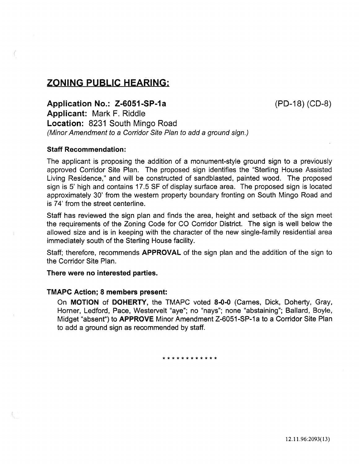## ZONING PUBLIC HEARING:

Application No.: Z-6051-SP-1a

(PD-18) (CD-8)

Applicant: Mark F. Riddle Location: 8231 South Mingo Road (Minor Amendment to a Corridor Site Plan to add a ground sign.)

## Staff Recommendation:

The applicant is proposing the addition of a monument-style ground sign to a previously approved Corridor Site Plan. The proposed sign identifies the "Sterling House Assisted Living Residence," and will be constructed of sandblasted, painted wood. The proposed sign is 5' high and contains 17.5 SF of display surface area. The proposed sign is located approximately 30' from the western property boundary fronting on South Mingo Road and is 74' from the street centerline.

Staff has reviewed the sign plan and finds the area, height and setback of the sign meet the requirements of the Zoning Code for CO Corridor District. The sign is well below the allowed size and is in keeping with the character of the new single-family residential area immediately south of the Sterling House facility.

Staff; therefore, recommends **APPROVAL** of the sign plan and the addition of the sign to the Corridor Site Plan.

There were no interested parties.

## TMAPC Action; 8 members present:

On MOTION of DOHERTY, the TMAPC voted 8-0-0 (Carnes, Dick, Doherty, Gray, Horner, Ledford, Pace, Westervelt "aye"; no "nays"; none "abstaining"; Ballard, Boyle, Midget "absent") to APPROVE Minor Amendment Z-6051-SP-1a to a Corridor Site Plan to add a ground sign as recommended by staff.

\*\*\*\*\*\*\*\*\*\*\*\*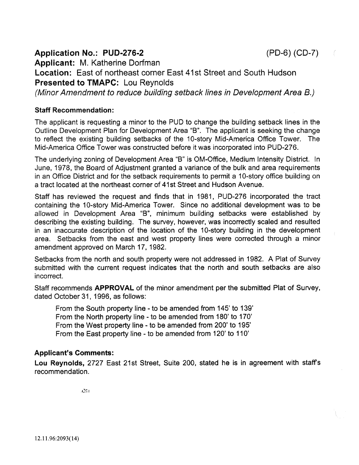Application No.: PUD-276-2 (PD-6) (CD-7)

Applicant: M. Katherine Dorfman Location: East of northeast corner East 41st Street and South Hudson Presented to TMAPC: Lou Reynolds (Minor Amendment to reduce building setback lines in Development Area B.)

## Staff Recommendation:

The applicant is requesting a minor to the PUD to change the building setback lines in the Outline Development Plan for Development Area "8". The applicant is seeking the change to reflect the existing building setbacks of the 10-story Mid-America Office Tower. The Mid-America Office Tower was constructed before it was incorporated into PUD-276.

The underlying zoning of Development Area "B" is OM-Office, Medium Intensity District. In June, 1978, the Board of Adjustment granted a variance of the bulk and area requirements in an Office District and for the setback requirements to permit a 10-story office building on a tract located at the northeast corner of 41st Street and Hudson Avenue.

Staff has reviewed the request and finds that in 1981, PUD-276 incorporated the tract containing the 10-story Mid-America Tower. Since no additional development was to be allowed in Development Area "8", minimum building setbacks were established by describing the existing building. The survey, however, was incorrectly scaled and resulted in an inaccurate description of the location of the 10-story building in the development area. Setbacks from the east and west property lines were corrected through a minor amendment approved on March 17, 1982.

Setbacks from the north and south property were not addressed in 1982. A Plat of Survey submitted with the current request indicates that the north and south setbacks are also incorrect.

Staff recommends APPROVAL of the minor amendment per the submitted Plat of Survey, dated October 31, 1996, as follows:

From the South property line - to be amended from 145' to 139' From the North property line - to be amended from 180' to 170' From the West property line - to be amended from 200' to 195' From the East property line - to be amended from 120' to 110'

## Applicant's Comments:

Lou Reynolds, 2727 East 21st Street, Suite 200, stated he is in agreement with staff's recommendation.

:1..'~: I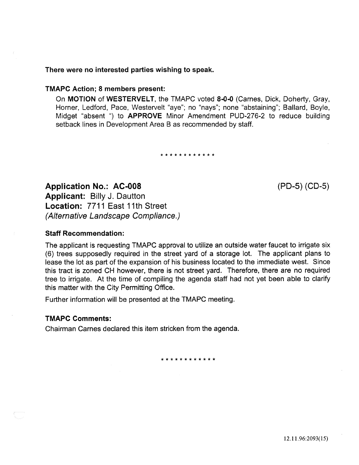On MOTION of WESTERVELT, the TMAPC voted 8-0-0 (Carnes, Dick, Doherty, Gray, Horner, Ledford, Pace, Westervelt "aye"; no "nays"; none "abstaining"; Ballard, Boyle, Midget "absent ") to APPROVE Minor Amendment PUD-276-2 to reduce building setback lines in Development Area B as recommended by staff.

#### \* \* \* \* \* \* \* \* \* \* \* \*

Application No.: AC-008 Applicant: Billy J. Dautton Location: 7711 East 11th Street (Alternative Landscape Compliance.)

## Staff Recommendation:

The applicant is requesting TMAPC approval to utilize an outside water faucet to irrigate six (6) trees supposedly required in the street yard of a storage lot. The applicant plans to lease the lot as part of the expansion of his business located to the immediate west. Since this tract is zoned CH however, there is not street yard. Therefore, there are no required tree to irrigate. At the time of compiling the agenda staff had not yet been able to clarify this matter with the City Permitting Office.

Further information will be presented at the TMAPC meeting.

## TMAPC Comments:

Chairman Carnes declared this item stricken from the agenda.

\*\*\*\*\*\*\*\*\*\*\*\*

(PD-5) (CD-5)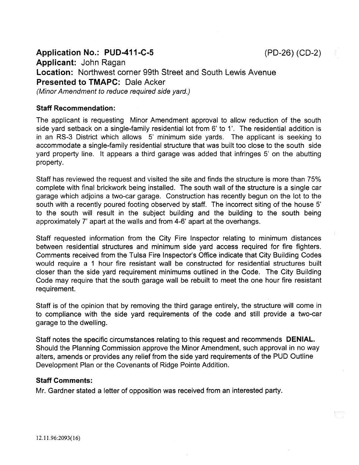Application No.: PUD-411-C-5 (PD-26) (CD-2) Applicant: John Ragan Location: Northwest corner 99th Street and South Lewis Avenue Presented to TMAPC: Dale Acker (Minor Amendment to reduce required side yard.)

## Staff Recommendation:

The applicant is requesting Minor Amendment approval to allow reduction of the south side yard setback on a single-family residential lot from 6' to 1'. The residential addition is in an RS-3 District which allows 5' minimum side yards. The applicant is seeking to accommodate a single-family residential structure that was built too close to the south side yard property line. It appears a third garage was added that infringes 5' on the abutting property.

Staff has reviewed the request and visited the site and finds the structure is more than 75% complete with final brickwork being installed. The south wall of the structure is a single car garage which adjoins a two-car garage. Construction has recently begun on the lot to the south with a recently poured footing observed by staff. The incorrect siting of the house 5' to the south will result in the subject building and the building to the south being approximately 7' apart at the walls and from 4-6' apart at the overhangs.

Staff requested information from the City Fire Inspector relating to minimum distances between residential structures and minimum side yard access required for fire fighters. Comments received from the Tulsa Fire Inspector's Office indicate that City Building Codes would require a 1 hour fire resistant wall be constructed for residential structures built closer than the side yard requirement minimums outlined in the Code. The City Building Code may require that the south garage wall be rebuilt to meet the one hour fire resistant requirement.

Staff is of the opinion that by removing the third garage entirely, the structure will come in to compliance with the side yard requirements of the code and still provide a two-car garage to the dwelling.

Staff notes the specific circumstances relating to this request and recommends DENIAL. Should the Planning Commission approve the Minor Amendment, such approval in no way alters, amends or provides any relief from the side yard requirements of the PUD Outline Development Plan or the Covenants of Ridge Pointe Addition.

## Staff Comments:

Mr. Gardner stated a letter of opposition was received from an interested party.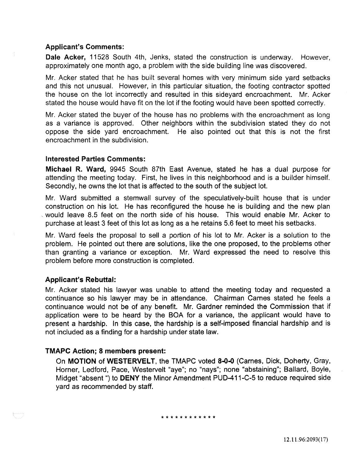#### Applicant's Comments:

Dale Acker, 11528 South 4th, Jenks, stated the construction is underway. However, approximately one month ago, a problem with the side building line was discovered.

Mr. Acker stated that he has built several homes with very minimum side yard setbacks and this not unusual. However, in this particular situation, the footing contractor spotted the house on the lot incorrectly and resulted in this sideyard encroachment. Mr. Acker stated the house would have fit on the lot if the footing would have been spotted correctly.

Mr. Acker stated the buyer of the house has no problems with the encroachment as long as a variance is approved. Other neighbors within the subdivision stated they do not oppose the side yard encroachment. He also pointed out that this is not the first encroachment in the subdivision.

## Interested Parties Comments:

Michael R. Ward, 9945 South 87th East Avenue, stated he has a dual purpose for attending the meeting today. First, he lives in this neighborhood and is a builder himself. Secondly, he owns the lot that is affected to the south of the subject lot.

Mr. Ward submitted a stemwall survey of the speculatively-built house that is under construction on his lot. He has reconfigured the house he is building and the new plan , would leave 8.5 feet on the north side of his house. This would enable Mr. Acker to purchase at least 3 feet of this lot as long as a he retains 5.6 feet to meet his setbacks.

Mr. Ward feels the proposal to sell a portion of his lot to Mr. Acker is a solution to the problem. He pointed out there are solutions, like the one proposed, to the problems other than granting a variance or exception. Mr. Ward expressed the need to resolve this problem before more construction is completed.

## Applicant's Rebuttal:

Mr. Acker stated his lawyer was unable to attend the meeting today and requested a continuance so his lawyer may be in attendance. Chairman Carnes stated he feels a continuance would not be of any benefit. Mr. Gardner reminded the Commission that if application were to be heard by the BOA for a variance, the applicant would have to present a hardship. In this case, the hardship is a self-imposed financial hardship and is not included as a finding for a hardship under state law.

## TMAPC Action; 8 members present:

On MOTION of WESTERVELT, the TMAPC voted 8-0-0 (Carnes, Dick, Doherty, Gray, Horner, Ledford, Pace, Westervelt "aye"; no "nays"; none "abstaining"; Ballard, Boyle, Midget "absent ") to DENY the Minor Amendment PUD-411-C-5 to reduce required side yard as recommended by staff.

\*\*\*\*\*\*\*\*\*\*\*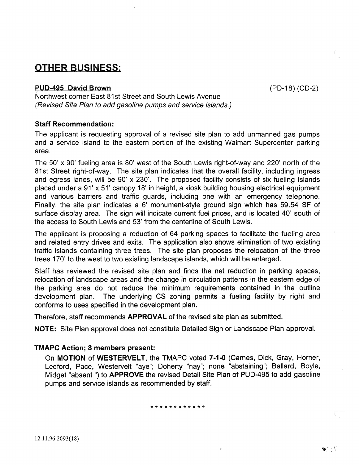## **OTHER** BUSINESS:

## PUD-495 David Brown

Northwest corner East 81st Street and South Lewis Avenue (Revised Site Plan to add gasoline pumps and service islands.)

## Staff Recommendation:

The applicant is requesting approval of a revised site plan to add unmanned gas pumps and a service island to the eastern portion of the existing Walmart Supercenter parking area.

The 50' x 90' fueling area is 80' west of the South Lewis right-of-way and 220' north of the 81st Street right-of-way. The site plan indicates that the overall facility, including ingress and egress lanes, will be 90' x 230'. The proposed facility consists of six fueling islands placed under a 91' x 51' canopy 18' in height, a kiosk building housing electrical equipment and various barriers and traffic guards, including one with an emergency telephone. Finally, the site plan indicates a 6' monument-style ground sign which has 59.54 SF of surface display area. The sign will indicate current fuel prices, and is located 40' south of the access to South Lewis and 53' from the centerline of South Lewis.

The applicant is proposing a reduction of 64 parking spaces to facilitate the fueling area and related entry drives and exits. The application also shows elimination of two existing traffic islands containing three trees. The site plan proposes the relocation of the three trees 170' to the west to two existing landscape islands, which will be enlarged.

Staff has reviewed the revised site plan and finds the net reduction in parking spaces, relocation of landscape areas and the change in circulation patterns in the eastern edge of the parking area do not reduce the minimum requirements contained in the outline development plan. The underlying CS zoning permits a fueling facility by right and conforms to uses specified in the development plan.

Therefore, staff recommends APPROVAL of the revised site plan as submitted.

NOTE: Site Plan approval does not constitute Detailed Sign or Landscape Plan approval.

## TMAPC Action; 8 members present:

On MOTION of WESTERVELT, the TMAPC voted 7-1-0 (Carnes, Dick, Gray, Horner, Ledford, Pace, Westervelt "aye"; Doherty "nay"; none "abstaining"; Ballard, Boyle, Midget "absent ") to APPROVE the revised Detail Site Plan of PUD-495 to add gasoline pumps and service islands as recommended by staff.

\*\*\*\*\*\*\*\*\*\*\*\*

(PD-18) (CD-2)

 $\Phi^+ \rightarrow$